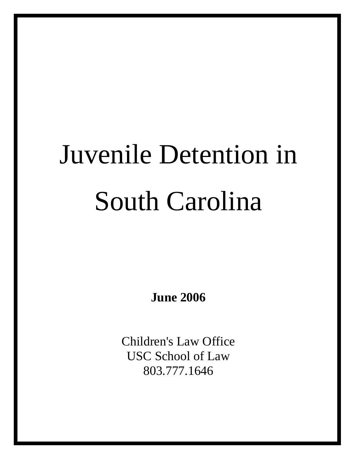# Juvenile Detention in South Carolina

**June 2006** 

Children's Law Office USC School of Law 803.777.1646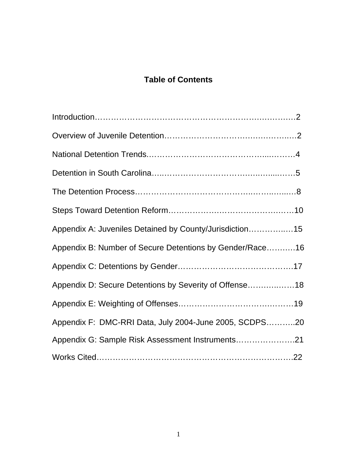# **Table of Contents**

| Appendix A: Juveniles Detained by County/Jurisdiction15  |  |
|----------------------------------------------------------|--|
| Appendix B: Number of Secure Detentions by Gender/Race16 |  |
|                                                          |  |
| Appendix D: Secure Detentions by Severity of Offense18   |  |
|                                                          |  |
| Appendix F: DMC-RRI Data, July 2004-June 2005, SCDPS20   |  |
| Appendix G: Sample Risk Assessment Instruments21         |  |
|                                                          |  |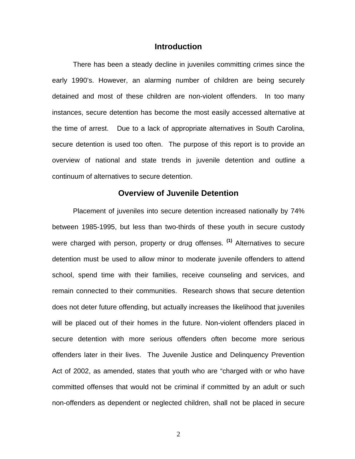#### **Introduction**

There has been a steady decline in juveniles committing crimes since the early 1990's. However, an alarming number of children are being securely detained and most of these children are non-violent offenders. In too many instances, secure detention has become the most easily accessed alternative at the time of arrest. Due to a lack of appropriate alternatives in South Carolina, secure detention is used too often. The purpose of this report is to provide an overview of national and state trends in juvenile detention and outline a continuum of alternatives to secure detention.

#### **Overview of Juvenile Detention**

 Placement of juveniles into secure detention increased nationally by 74% between 1985-1995, but less than two-thirds of these youth in secure custody were charged with person, property or drug offenses. **(1)** Alternatives to secure detention must be used to allow minor to moderate juvenile offenders to attend school, spend time with their families, receive counseling and services, and remain connected to their communities. Research shows that secure detention does not deter future offending, but actually increases the likelihood that juveniles will be placed out of their homes in the future. Non-violent offenders placed in secure detention with more serious offenders often become more serious offenders later in their lives. The Juvenile Justice and Delinquency Prevention Act of 2002, as amended, states that youth who are "charged with or who have committed offenses that would not be criminal if committed by an adult or such non-offenders as dependent or neglected children, shall not be placed in secure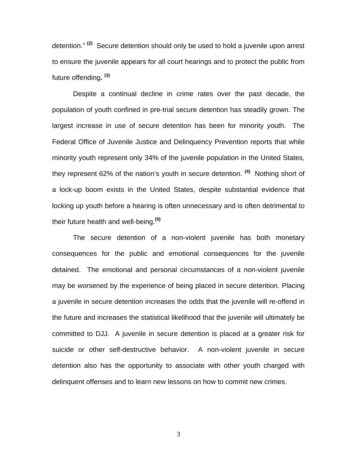detention." **(2)** Secure detention should only be used to hold a juvenile upon arrest to ensure the juvenile appears for all court hearings and to protect the public from future offending**. (3)** 

Despite a continual decline in crime rates over the past decade, the population of youth confined in pre-trial secure detention has steadily grown. The largest increase in use of secure detention has been for minority youth. The Federal Office of Juvenile Justice and Delinquency Prevention reports that while minority youth represent only 34% of the juvenile population in the United States, they represent 62% of the nation's youth in secure detention. **(4)** Nothing short of a lock-up boom exists in the United States, despite substantial evidence that locking up youth before a hearing is often unnecessary and is often detrimental to their future health and well-being.**(5)**

The secure detention of a non-violent juvenile has both monetary consequences for the public and emotional consequences for the juvenile detained. The emotional and personal circumstances of a non-violent juvenile may be worsened by the experience of being placed in secure detention. Placing a juvenile in secure detention increases the odds that the juvenile will re-offend in the future and increases the statistical likelihood that the juvenile will ultimately be committed to DJJ. A juvenile in secure detention is placed at a greater risk for suicide or other self-destructive behavior. A non-violent juvenile in secure detention also has the opportunity to associate with other youth charged with delinquent offenses and to learn new lessons on how to commit new crimes.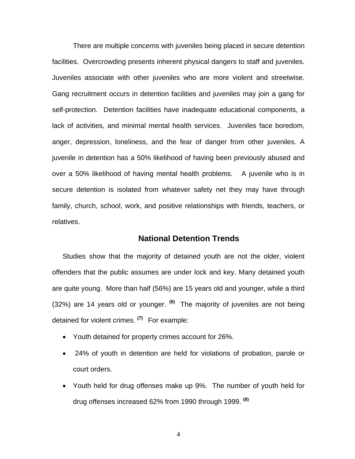There are multiple concerns with juveniles being placed in secure detention facilities. Overcrowding presents inherent physical dangers to staff and juveniles. Juveniles associate with other juveniles who are more violent and streetwise. Gang recruitment occurs in detention facilities and juveniles may join a gang for self-protection. Detention facilities have inadequate educational components, a lack of activities, and minimal mental health services. Juveniles face boredom, anger, depression, loneliness, and the fear of danger from other juveniles. A juvenile in detention has a 50% likelihood of having been previously abused and over a 50% likelihood of having mental health problems. A juvenile who is in secure detention is isolated from whatever safety net they may have through family, church, school, work, and positive relationships with friends, teachers, or relatives.

#### **National Detention Trends**

Studies show that the majority of detained youth are not the older, violent offenders that the public assumes are under lock and key. Many detained youth are quite young. More than half (56%) are 15 years old and younger, while a third (32%) are 14 years old or younger. **(6)** The majority of juveniles are not being detained for violent crimes. **(7)** For example:

- Youth detained for property crimes account for 26%.
- 24% of youth in detention are held for violations of probation, parole or court orders.
- Youth held for drug offenses make up 9%. The number of youth held for drug offenses increased 62% from 1990 through 1999. **(8)**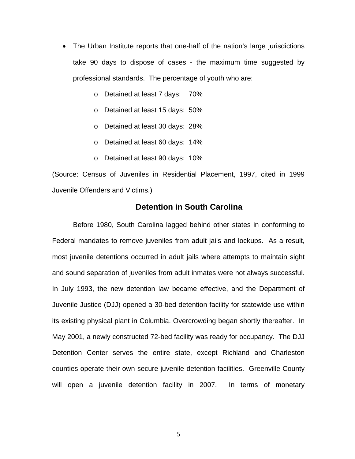- The Urban Institute reports that one-half of the nation's large jurisdictions take 90 days to dispose of cases - the maximum time suggested by professional standards. The percentage of youth who are:
	- o Detained at least 7 days: 70%
	- o Detained at least 15 days: 50%
	- o Detained at least 30 days: 28%
	- o Detained at least 60 days: 14%
	- o Detained at least 90 days: 10%

(Source: Census of Juveniles in Residential Placement, 1997, cited in 1999 Juvenile Offenders and Victims.)

#### **Detention in South Carolina**

Before 1980, South Carolina lagged behind other states in conforming to Federal mandates to remove juveniles from adult jails and lockups. As a result, most juvenile detentions occurred in adult jails where attempts to maintain sight and sound separation of juveniles from adult inmates were not always successful. In July 1993, the new detention law became effective, and the Department of Juvenile Justice (DJJ) opened a 30-bed detention facility for statewide use within its existing physical plant in Columbia. Overcrowding began shortly thereafter. In May 2001, a newly constructed 72-bed facility was ready for occupancy. The DJJ Detention Center serves the entire state, except Richland and Charleston counties operate their own secure juvenile detention facilities. Greenville County will open a juvenile detention facility in 2007. In terms of monetary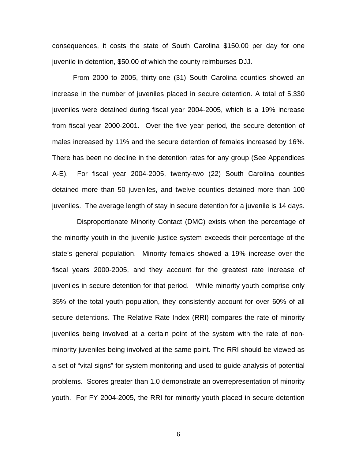consequences, it costs the state of South Carolina \$150.00 per day for one juvenile in detention, \$50.00 of which the county reimburses DJJ.

 From 2000 to 2005, thirty-one (31) South Carolina counties showed an increase in the number of juveniles placed in secure detention. A total of 5,330 juveniles were detained during fiscal year 2004-2005, which is a 19% increase from fiscal year 2000-2001. Over the five year period, the secure detention of males increased by 11% and the secure detention of females increased by 16%. There has been no decline in the detention rates for any group (See Appendices A-E). For fiscal year 2004-2005, twenty-two (22) South Carolina counties detained more than 50 juveniles, and twelve counties detained more than 100 juveniles. The average length of stay in secure detention for a juvenile is 14 days.

 Disproportionate Minority Contact (DMC) exists when the percentage of the minority youth in the juvenile justice system exceeds their percentage of the state's general population. Minority females showed a 19% increase over the fiscal years 2000-2005, and they account for the greatest rate increase of juveniles in secure detention for that period. While minority youth comprise only 35% of the total youth population, they consistently account for over 60% of all secure detentions. The Relative Rate Index (RRI) compares the rate of minority juveniles being involved at a certain point of the system with the rate of nonminority juveniles being involved at the same point. The RRI should be viewed as a set of "vital signs" for system monitoring and used to guide analysis of potential problems. Scores greater than 1.0 demonstrate an overrepresentation of minority youth. For FY 2004-2005, the RRI for minority youth placed in secure detention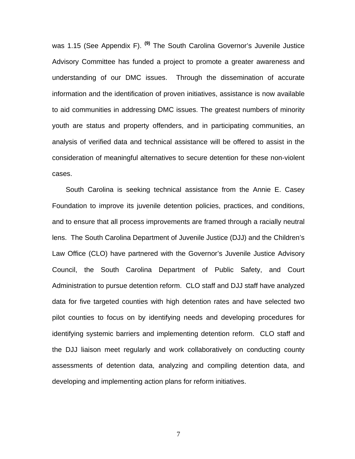was 1.15 (See Appendix F). **(9)** The South Carolina Governor's Juvenile Justice Advisory Committee has funded a project to promote a greater awareness and understanding of our DMC issues. Through the dissemination of accurate information and the identification of proven initiatives, assistance is now available to aid communities in addressing DMC issues. The greatest numbers of minority youth are status and property offenders, and in participating communities, an analysis of verified data and technical assistance will be offered to assist in the consideration of meaningful alternatives to secure detention for these non-violent cases.

 South Carolina is seeking technical assistance from the Annie E. Casey Foundation to improve its juvenile detention policies, practices, and conditions, and to ensure that all process improvements are framed through a racially neutral lens. The South Carolina Department of Juvenile Justice (DJJ) and the Children's Law Office (CLO) have partnered with the Governor's Juvenile Justice Advisory Council, the South Carolina Department of Public Safety, and Court Administration to pursue detention reform. CLO staff and DJJ staff have analyzed data for five targeted counties with high detention rates and have selected two pilot counties to focus on by identifying needs and developing procedures for identifying systemic barriers and implementing detention reform. CLO staff and the DJJ liaison meet regularly and work collaboratively on conducting county assessments of detention data, analyzing and compiling detention data, and developing and implementing action plans for reform initiatives.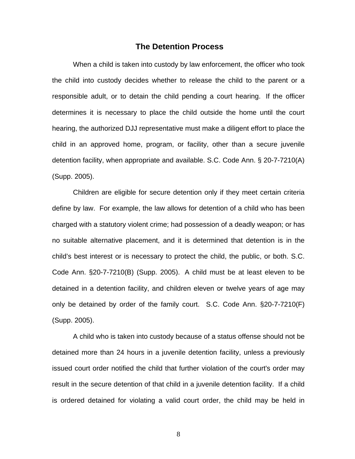#### **The Detention Process**

When a child is taken into custody by law enforcement, the officer who took the child into custody decides whether to release the child to the parent or a responsible adult, or to detain the child pending a court hearing. If the officer determines it is necessary to place the child outside the home until the court hearing, the authorized DJJ representative must make a diligent effort to place the child in an approved home, program, or facility, other than a secure juvenile detention facility, when appropriate and available. S.C. Code Ann. § 20-7-7210(A) (Supp. 2005).

 Children are eligible for secure detention only if they meet certain criteria define by law. For example, the law allows for detention of a child who has been charged with a statutory violent crime; had possession of a deadly weapon; or has no suitable alternative placement, and it is determined that detention is in the child's best interest or is necessary to protect the child, the public, or both. S.C. Code Ann. §20-7-7210(B) (Supp. 2005). A child must be at least eleven to be detained in a detention facility, and children eleven or twelve years of age may only be detained by order of the family court. S.C. Code Ann. §20-7-7210(F) (Supp. 2005).

A child who is taken into custody because of a status offense should not be detained more than 24 hours in a juvenile detention facility, unless a previously issued court order notified the child that further violation of the court's order may result in the secure detention of that child in a juvenile detention facility. If a child is ordered detained for violating a valid court order, the child may be held in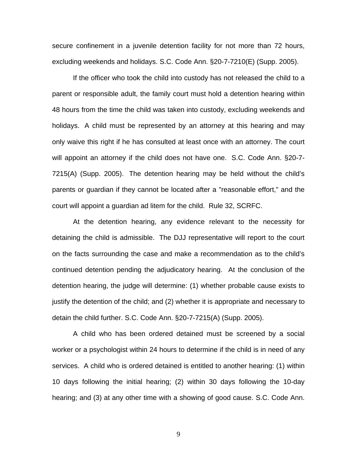secure confinement in a juvenile detention facility for not more than 72 hours, excluding weekends and holidays. S.C. Code Ann. §20-7-7210(E) (Supp. 2005).

If the officer who took the child into custody has not released the child to a parent or responsible adult, the family court must hold a detention hearing within 48 hours from the time the child was taken into custody, excluding weekends and holidays. A child must be represented by an attorney at this hearing and may only waive this right if he has consulted at least once with an attorney. The court will appoint an attorney if the child does not have one. S.C. Code Ann. §20-7- 7215(A) (Supp. 2005). The detention hearing may be held without the child's parents or guardian if they cannot be located after a "reasonable effort," and the court will appoint a guardian ad litem for the child. Rule 32, SCRFC.

At the detention hearing, any evidence relevant to the necessity for detaining the child is admissible. The DJJ representative will report to the court on the facts surrounding the case and make a recommendation as to the child's continued detention pending the adjudicatory hearing. At the conclusion of the detention hearing, the judge will determine: (1) whether probable cause exists to justify the detention of the child; and (2) whether it is appropriate and necessary to detain the child further. S.C. Code Ann. §20-7-7215(A) (Supp. 2005).

A child who has been ordered detained must be screened by a social worker or a psychologist within 24 hours to determine if the child is in need of any services. A child who is ordered detained is entitled to another hearing: (1) within 10 days following the initial hearing; (2) within 30 days following the 10-day hearing; and (3) at any other time with a showing of good cause. S.C. Code Ann.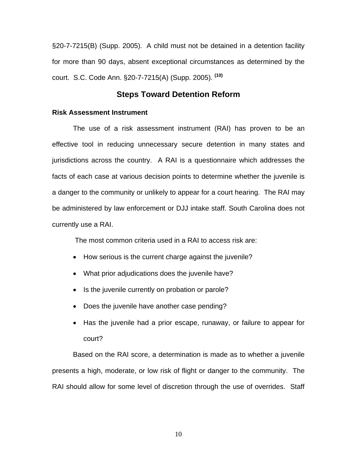§20-7-7215(B) (Supp. 2005). A child must not be detained in a detention facility for more than 90 days, absent exceptional circumstances as determined by the court. S.C. Code Ann. §20-7-7215(A) (Supp. 2005). **(10)** 

## **Steps Toward Detention Reform**

#### **Risk Assessment Instrument**

The use of a risk assessment instrument (RAI) has proven to be an effective tool in reducing unnecessary secure detention in many states and jurisdictions across the country. A RAI is a questionnaire which addresses the facts of each case at various decision points to determine whether the juvenile is a danger to the community or unlikely to appear for a court hearing. The RAI may be administered by law enforcement or DJJ intake staff. South Carolina does not currently use a RAI.

The most common criteria used in a RAI to access risk are:

- How serious is the current charge against the juvenile?
- What prior adjudications does the juvenile have?
- Is the juvenile currently on probation or parole?
- Does the juvenile have another case pending?
- Has the juvenile had a prior escape, runaway, or failure to appear for court?

Based on the RAI score, a determination is made as to whether a juvenile presents a high, moderate, or low risk of flight or danger to the community. The RAI should allow for some level of discretion through the use of overrides. Staff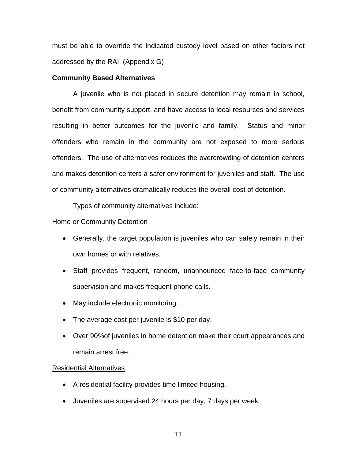must be able to override the indicated custody level based on other factors not addressed by the RAI. (Appendix G)

#### **Community Based Alternatives**

A juvenile who is not placed in secure detention may remain in school, benefit from community support, and have access to local resources and services resulting in better outcomes for the juvenile and family. Status and minor offenders who remain in the community are not exposed to more serious offenders. The use of alternatives reduces the overcrowding of detention centers and makes detention centers a safer environment for juveniles and staff. The use of community alternatives dramatically reduces the overall cost of detention.

Types of community alternatives include:

#### **Home or Community Detention**

- Generally, the target population is juveniles who can safely remain in their own homes or with relatives.
- Staff provides frequent, random, unannounced face-to-face community supervision and makes frequent phone calls.
- May include electronic monitoring.
- The average cost per juvenile is \$10 per day.
- Over 90%of juveniles in home detention make their court appearances and remain arrest free.

#### Residential Alternatives

- A residential facility provides time limited housing.
- Juveniles are supervised 24 hours per day, 7 days per week.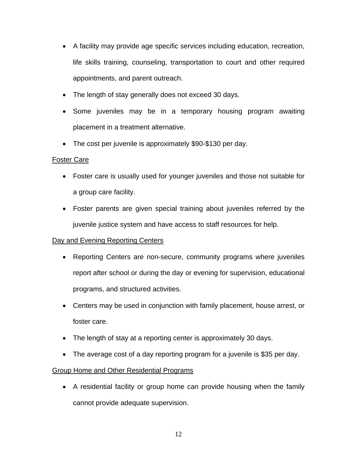- A facility may provide age specific services including education, recreation, life skills training, counseling, transportation to court and other required appointments, and parent outreach.
- The length of stay generally does not exceed 30 days.
- Some juveniles may be in a temporary housing program awaiting placement in a treatment alternative.
- The cost per juvenile is approximately \$90-\$130 per day.

### Foster Care

- Foster care is usually used for younger juveniles and those not suitable for a group care facility.
- Foster parents are given special training about juveniles referred by the juvenile justice system and have access to staff resources for help.

#### Day and Evening Reporting Centers

- Reporting Centers are non-secure, community programs where juveniles report after school or during the day or evening for supervision, educational programs, and structured activities.
- Centers may be used in conjunction with family placement, house arrest, or foster care.
- The length of stay at a reporting center is approximately 30 days.
- The average cost of a day reporting program for a juvenile is \$35 per day.

## Group Home and Other Residential Programs

• A residential facility or group home can provide housing when the family cannot provide adequate supervision.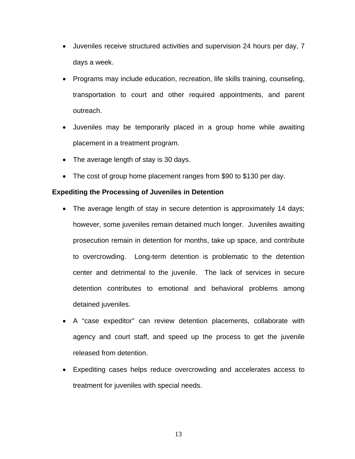- Juveniles receive structured activities and supervision 24 hours per day, 7 days a week.
- Programs may include education, recreation, life skills training, counseling, transportation to court and other required appointments, and parent outreach.
- Juveniles may be temporarily placed in a group home while awaiting placement in a treatment program.
- The average length of stay is 30 days.
- The cost of group home placement ranges from \$90 to \$130 per day.

#### **Expediting the Processing of Juveniles in Detention**

- The average length of stay in secure detention is approximately 14 days; however, some juveniles remain detained much longer. Juveniles awaiting prosecution remain in detention for months, take up space, and contribute to overcrowding. Long-term detention is problematic to the detention center and detrimental to the juvenile. The lack of services in secure detention contributes to emotional and behavioral problems among detained juveniles.
- A "case expeditor" can review detention placements, collaborate with agency and court staff, and speed up the process to get the juvenile released from detention.
- Expediting cases helps reduce overcrowding and accelerates access to treatment for juveniles with special needs.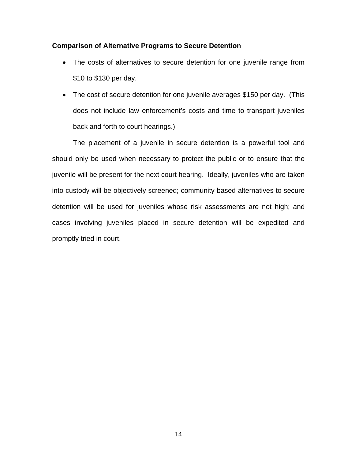#### **Comparison of Alternative Programs to Secure Detention**

- The costs of alternatives to secure detention for one juvenile range from \$10 to \$130 per day.
- The cost of secure detention for one juvenile averages \$150 per day. (This does not include law enforcement's costs and time to transport juveniles back and forth to court hearings.)

The placement of a juvenile in secure detention is a powerful tool and should only be used when necessary to protect the public or to ensure that the juvenile will be present for the next court hearing. Ideally, juveniles who are taken into custody will be objectively screened; community-based alternatives to secure detention will be used for juveniles whose risk assessments are not high; and cases involving juveniles placed in secure detention will be expedited and promptly tried in court.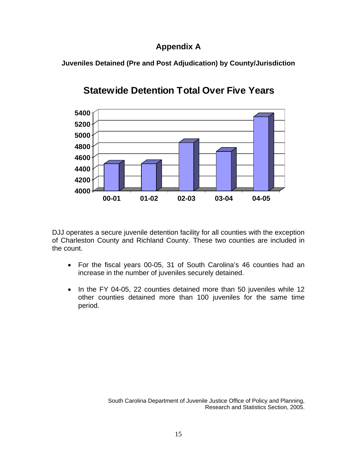## **Appendix A**

**Juveniles Detained (Pre and Post Adjudication) by County/Jurisdiction** 



# **Statewide Detention Total Over Five Years**

DJJ operates a secure juvenile detention facility for all counties with the exception of Charleston County and Richland County. These two counties are included in the count.

- For the fiscal years 00-05, 31 of South Carolina's 46 counties had an increase in the number of juveniles securely detained.
- In the FY 04-05, 22 counties detained more than 50 juveniles while 12 other counties detained more than 100 juveniles for the same time period.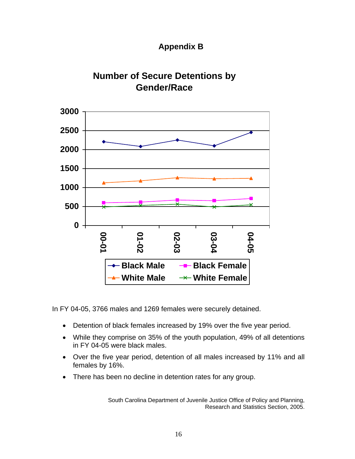





In FY 04-05, 3766 males and 1269 females were securely detained.

- Detention of black females increased by 19% over the five year period.
- While they comprise on 35% of the youth population, 49% of all detentions in FY 04-05 were black males.
- Over the five year period, detention of all males increased by 11% and all females by 16%.
- There has been no decline in detention rates for any group.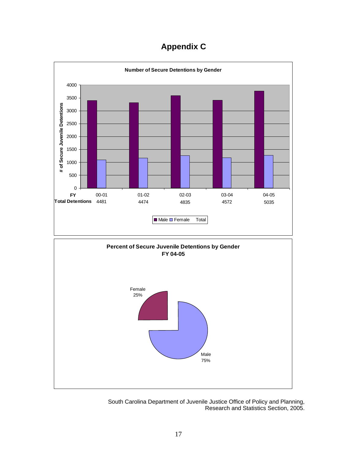# **Appendix C**

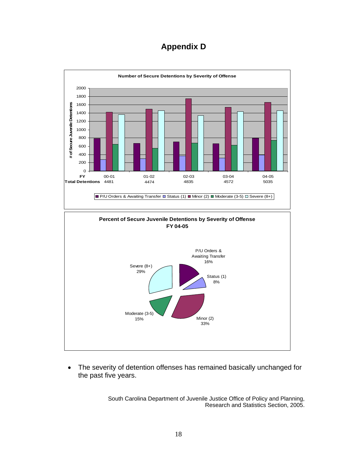# **Appendix D**



• The severity of detention offenses has remained basically unchanged for the past five years.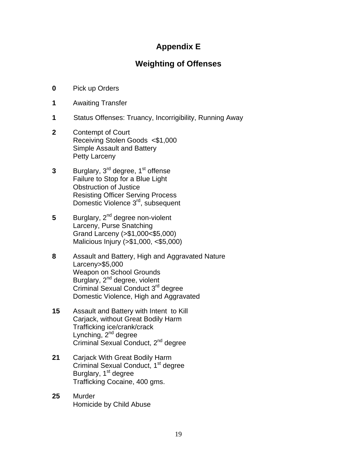## **Appendix E**

## **Weighting of Offenses**

- **0** Pick up Orders
- **1** Awaiting Transfer
- **1** Status Offenses: Truancy, Incorrigibility, Running Away
- **2** Contempt of Court Receiving Stolen Goods <\$1,000 Simple Assault and Battery **Petty Larceny**
- **3** Burglary, 3<sup>rd</sup> degree, 1<sup>st</sup> offense Failure to Stop for a Blue Light **Obstruction of Justice** Resisting Officer Serving Process Domestic Violence 3<sup>rd</sup>, subsequent
- **5** Burglary, 2<sup>nd</sup> degree non-violent Larceny, Purse Snatching Grand Larceny (>\$1,000<\$5,000) Malicious Injury (>\$1,000, <\$5,000)
- **8** Assault and Battery, High and Aggravated Nature Larceny>\$5,000 Weapon on School Grounds Burglary, 2<sup>nd</sup> degree, violent Criminal Sexual Conduct 3rd degree Domestic Violence, High and Aggravated
- **15** Assault and Battery with Intent to Kill Carjack, without Great Bodily Harm Trafficking ice/crank/crack Lynching,  $2^{nd}$  degree Criminal Sexual Conduct, 2<sup>nd</sup> degree
- **21** Carjack With Great Bodily Harm Criminal Sexual Conduct, 1<sup>st</sup> degree Burglary, 1<sup>st</sup> degree Trafficking Cocaine, 400 gms.
- **25** Murder Homicide by Child Abuse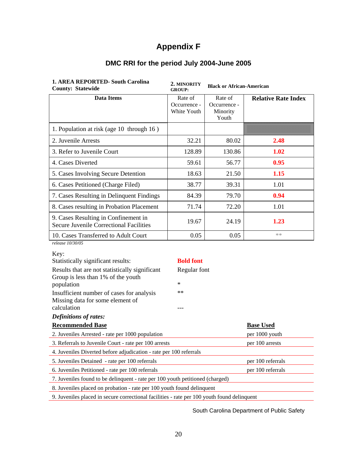## **Appendix F**

| <b>1. AREA REPORTED- South Carolina</b><br><b>County: Statewide</b>                    | 2. MINORITY<br><b>GROUP:</b>           | <b>Black or African-American</b>             |                            |
|----------------------------------------------------------------------------------------|----------------------------------------|----------------------------------------------|----------------------------|
| <b>Data Items</b>                                                                      | Rate of<br>Occurrence -<br>White Youth | Rate of<br>Occurrence -<br>Minority<br>Youth | <b>Relative Rate Index</b> |
| 1. Population at risk (age 10 through 16)                                              |                                        |                                              |                            |
| 2. Juvenile Arrests                                                                    | 32.21                                  | 80.02                                        | 2.48                       |
| 3. Refer to Juvenile Court                                                             | 128.89                                 | 130.86                                       | 1.02                       |
| 4. Cases Diverted                                                                      | 59.61                                  | 56.77                                        | 0.95                       |
| 5. Cases Involving Secure Detention                                                    | 18.63                                  | 21.50                                        | 1.15                       |
| 6. Cases Petitioned (Charge Filed)                                                     | 38.77                                  | 39.31                                        | 1.01                       |
| 7. Cases Resulting in Delinquent Findings                                              | 84.39                                  | 79.70                                        | 0.94                       |
| 8. Cases resulting in Probation Placement                                              | 71.74                                  | 72.20                                        | 1.01                       |
| 9. Cases Resulting in Confinement in<br><b>Secure Juvenile Correctional Facilities</b> | 19.67                                  | 24.19                                        | 1.23                       |
| 10. Cases Transferred to Adult Court                                                   | 0.05                                   | 0.05                                         | $**$                       |
| release 10/30/05<br>Key:                                                               |                                        |                                              |                            |
| Statistically significant results:<br>Results that are not statistically significant   | <b>Bold font</b><br>Regular font       |                                              |                            |
| Group is less than 1% of the youth<br>population                                       | $\ast$                                 |                                              |                            |
| Insufficient number of cases for analysis<br>Missing data for some element of          | $**$                                   |                                              |                            |
| calculation<br><b>Definitions of rates:</b>                                            | ---                                    |                                              |                            |

## **DMC RRI for the period July 2004-June 2005**

**Recommended Base Base Used** 2. Juveniles Arrested - rate per 1000 population per 1000 youth 3. Referrals to Juvenile Court - rate per 100 arrests per 100 arrests 4. Juveniles Diverted before adjudication - rate per 100 referrals 5. Juveniles Detained - rate per 100 referrals per 100 referrals 6. Juveniles Petitioned - rate per 100 referrals per 100 referrals 7. Juveniles found to be delinquent - rate per 100 youth petitioned (charged) 8. Juveniles placed on probation - rate per 100 youth found delinquent

9. Juveniles placed in secure correctional facilities - rate per 100 youth found delinquent

South Carolina Department of Public Safety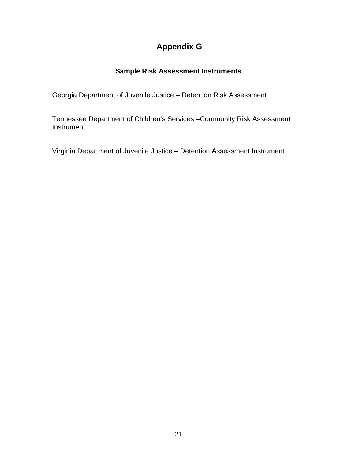# **Appendix G**

## **Sample Risk Assessment Instruments**

Georgia Department of Juvenile Justice – Detention Risk Assessment

Tennessee Department of Children's Services –Community Risk Assessment **Instrument** 

Virginia Department of Juvenile Justice – Detention Assessment Instrument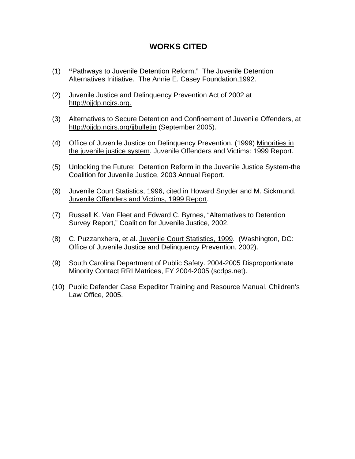## **WORKS CITED**

- (1) **"**Pathways to Juvenile Detention Reform." The Juvenile Detention Alternatives Initiative. The Annie E. Casey Foundation,1992.
- (2) Juvenile Justice and Delinquency Prevention Act of 2002 at http://ojjdp.ncjrs.org.
- (3) Alternatives to Secure Detention and Confinement of Juvenile Offenders, at <http://ojjdp.ncjrs.org/jjbulletin> (September 2005).
- (4) Office of Juvenile Justice on Delinquency Prevention. (1999) Minorities in the juvenile justice system. Juvenile Offenders and Victims: 1999 Report.
- (5) Unlocking the Future: Detention Reform in the Juvenile Justice System-the Coalition for Juvenile Justice, 2003 Annual Report.
- (6) Juvenile Court Statistics, 1996, cited in Howard Snyder and M. Sickmund, Juvenile Offenders and Victims, 1999 Report.
- (7) Russell K. Van Fleet and Edward C. Byrnes, "Alternatives to Detention Survey Report," Coalition for Juvenile Justice, 2002.
- (8) C. Puzzanxhera, et al. Juvenile Court Statistics, 1999. (Washington, DC: Office of Juvenile Justice and Delinquency Prevention, 2002).
- (9) South Carolina Department of Public Safety. 2004-2005 Disproportionate Minority Contact RRI Matrices, FY 2004-2005 (scdps.net).
- (10) Public Defender Case Expeditor Training and Resource Manual, Children's Law Office, 2005.